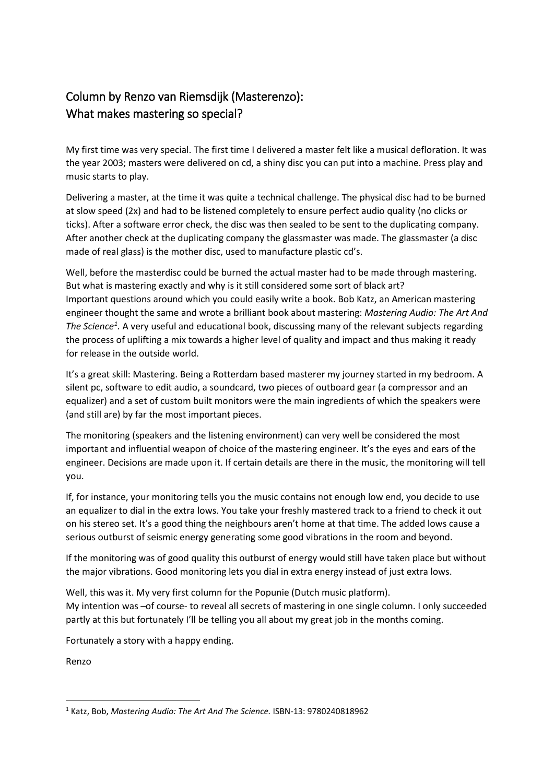## Column by Renzo van Riemsdijk (Masterenzo): What makes mastering so special?

My first time was very special. The first time I delivered a master felt like a musical defloration. It was the year 2003; masters were delivered on cd, a shiny disc you can put into a machine. Press play and music starts to play.

Delivering a master, at the time it was quite a technical challenge. The physical disc had to be burned at slow speed (2x) and had to be listened completely to ensure perfect audio quality (no clicks or ticks). After a software error check, the disc was then sealed to be sent to the duplicating company. After another check at the duplicating company the glassmaster was made. The glassmaster (a disc made of real glass) is the mother disc, used to manufacture plastic cd's.

Well, before the masterdisc could be burned the actual master had to be made through mastering. But what is mastering exactly and why is it still considered some sort of black art? Important questions around which you could easily write a book. Bob Katz, an American mastering engineer thought the same and wrote a brilliant book about mastering: *Mastering Audio: The Art And*  The Science<sup>[1](#page-0-0)</sup>. A very useful and educational book, discussing many of the relevant subjects regarding the process of uplifting a mix towards a higher level of quality and impact and thus making it ready for release in the outside world.

It's a great skill: Mastering. Being a Rotterdam based masterer my journey started in my bedroom. A silent pc, software to edit audio, a soundcard, two pieces of outboard gear (a compressor and an equalizer) and a set of custom built monitors were the main ingredients of which the speakers were (and still are) by far the most important pieces.

The monitoring (speakers and the listening environment) can very well be considered the most important and influential weapon of choice of the mastering engineer. It's the eyes and ears of the engineer. Decisions are made upon it. If certain details are there in the music, the monitoring will tell you.

If, for instance, your monitoring tells you the music contains not enough low end, you decide to use an equalizer to dial in the extra lows. You take your freshly mastered track to a friend to check it out on his stereo set. It's a good thing the neighbours aren't home at that time. The added lows cause a serious outburst of seismic energy generating some good vibrations in the room and beyond.

If the monitoring was of good quality this outburst of energy would still have taken place but without the major vibrations. Good monitoring lets you dial in extra energy instead of just extra lows.

Well, this was it. My very first column for the Popunie (Dutch music platform). My intention was –of course- to reveal all secrets of mastering in one single column. I only succeeded partly at this but fortunately I'll be telling you all about my great job in the months coming.

Fortunately a story with a happy ending.

Renzo

<span id="page-0-0"></span> <sup>1</sup> Katz, Bob, *Mastering Audio: The Art And The Science.* ISBN-13: 9780240818962